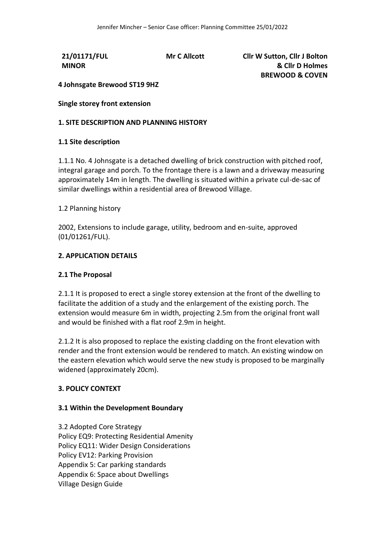**21/01171/FUL MINOR**

**Mr C Allcott Cllr W Sutton, Cllr J Bolton & Cllr D Holmes BREWOOD & COVEN**

# **4 Johnsgate Brewood ST19 9HZ**

**Single storey front extension**

### **1. SITE DESCRIPTION AND PLANNING HISTORY**

### **1.1 Site description**

1.1.1 No. 4 Johnsgate is a detached dwelling of brick construction with pitched roof, integral garage and porch. To the frontage there is a lawn and a driveway measuring approximately 14m in length. The dwelling is situated within a private cul-de-sac of similar dwellings within a residential area of Brewood Village.

#### 1.2 Planning history

2002, Extensions to include garage, utility, bedroom and en-suite, approved (01/01261/FUL).

### **2. APPLICATION DETAILS**

#### **2.1 The Proposal**

2.1.1 It is proposed to erect a single storey extension at the front of the dwelling to facilitate the addition of a study and the enlargement of the existing porch. The extension would measure 6m in width, projecting 2.5m from the original front wall and would be finished with a flat roof 2.9m in height.

2.1.2 It is also proposed to replace the existing cladding on the front elevation with render and the front extension would be rendered to match. An existing window on the eastern elevation which would serve the new study is proposed to be marginally widened (approximately 20cm).

# **3. POLICY CONTEXT**

#### **3.1 Within the Development Boundary**

3.2 Adopted Core Strategy Policy EQ9: Protecting Residential Amenity Policy EQ11: Wider Design Considerations Policy EV12: Parking Provision Appendix 5: Car parking standards Appendix 6: Space about Dwellings Village Design Guide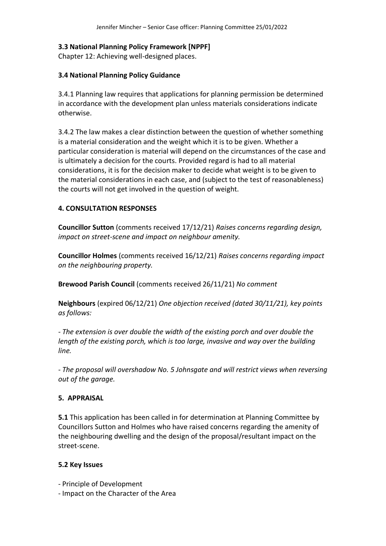# **3.3 National Planning Policy Framework [NPPF]**

Chapter 12: Achieving well-designed places.

# **3.4 National Planning Policy Guidance**

3.4.1 Planning law requires that applications for planning permission be determined in accordance with the development plan unless materials considerations indicate otherwise.

3.4.2 The law makes a clear distinction between the question of whether something is a material consideration and the weight which it is to be given. Whether a particular consideration is material will depend on the circumstances of the case and is ultimately a decision for the courts. Provided regard is had to all material considerations, it is for the decision maker to decide what weight is to be given to the material considerations in each case, and (subject to the test of reasonableness) the courts will not get involved in the question of weight.

# **4. CONSULTATION RESPONSES**

**Councillor Sutton** (comments received 17/12/21) *Raises concerns regarding design, impact on street-scene and impact on neighbour amenity.* 

**Councillor Holmes** (comments received 16/12/21) *Raises concerns regarding impact on the neighbouring property.*

**Brewood Parish Council** (comments received 26/11/21) *No comment*

**Neighbours** (expired 06/12/21) *One objection received (dated 30/11/21), key points as follows:* 

*- The extension is over double the width of the existing porch and over double the length of the existing porch, which is too large, invasive and way over the building line.*

*- The proposal will overshadow No. 5 Johnsgate and will restrict views when reversing out of the garage.*

# **5. APPRAISAL**

**5.1** This application has been called in for determination at Planning Committee by Councillors Sutton and Holmes who have raised concerns regarding the amenity of the neighbouring dwelling and the design of the proposal/resultant impact on the street-scene.

# **5.2 Key Issues**

- Principle of Development

- Impact on the Character of the Area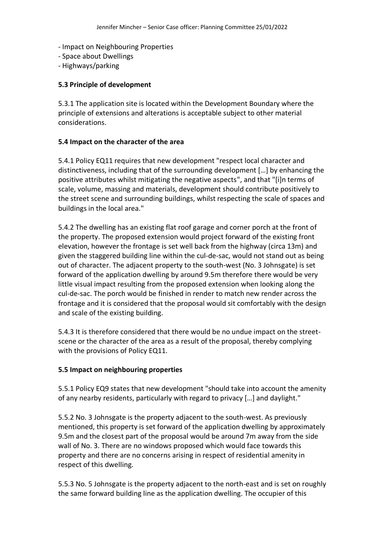- Impact on Neighbouring Properties
- Space about Dwellings
- Highways/parking

### **5.3 Principle of development**

5.3.1 The application site is located within the Development Boundary where the principle of extensions and alterations is acceptable subject to other material considerations.

### **5.4 Impact on the character of the area**

5.4.1 Policy EQ11 requires that new development "respect local character and distinctiveness, including that of the surrounding development […] by enhancing the positive attributes whilst mitigating the negative aspects", and that "[i]n terms of scale, volume, massing and materials, development should contribute positively to the street scene and surrounding buildings, whilst respecting the scale of spaces and buildings in the local area."

5.4.2 The dwelling has an existing flat roof garage and corner porch at the front of the property. The proposed extension would project forward of the existing front elevation, however the frontage is set well back from the highway (circa 13m) and given the staggered building line within the cul-de-sac, would not stand out as being out of character. The adjacent property to the south-west (No. 3 Johnsgate) is set forward of the application dwelling by around 9.5m therefore there would be very little visual impact resulting from the proposed extension when looking along the cul-de-sac. The porch would be finished in render to match new render across the frontage and it is considered that the proposal would sit comfortably with the design and scale of the existing building.

5.4.3 It is therefore considered that there would be no undue impact on the streetscene or the character of the area as a result of the proposal, thereby complying with the provisions of Policy EQ11.

### **5.5 Impact on neighbouring properties**

5.5.1 Policy EQ9 states that new development "should take into account the amenity of any nearby residents, particularly with regard to privacy […] and daylight."

5.5.2 No. 3 Johnsgate is the property adjacent to the south-west. As previously mentioned, this property is set forward of the application dwelling by approximately 9.5m and the closest part of the proposal would be around 7m away from the side wall of No. 3. There are no windows proposed which would face towards this property and there are no concerns arising in respect of residential amenity in respect of this dwelling.

5.5.3 No. 5 Johnsgate is the property adjacent to the north-east and is set on roughly the same forward building line as the application dwelling. The occupier of this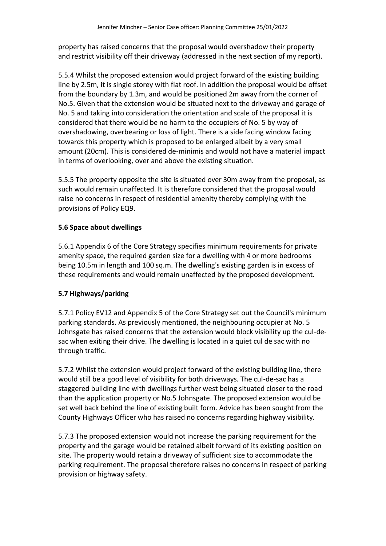property has raised concerns that the proposal would overshadow their property and restrict visibility off their driveway (addressed in the next section of my report).

5.5.4 Whilst the proposed extension would project forward of the existing building line by 2.5m, it is single storey with flat roof. In addition the proposal would be offset from the boundary by 1.3m, and would be positioned 2m away from the corner of No.5. Given that the extension would be situated next to the driveway and garage of No. 5 and taking into consideration the orientation and scale of the proposal it is considered that there would be no harm to the occupiers of No. 5 by way of overshadowing, overbearing or loss of light. There is a side facing window facing towards this property which is proposed to be enlarged albeit by a very small amount (20cm). This is considered de-minimis and would not have a material impact in terms of overlooking, over and above the existing situation.

5.5.5 The property opposite the site is situated over 30m away from the proposal, as such would remain unaffected. It is therefore considered that the proposal would raise no concerns in respect of residential amenity thereby complying with the provisions of Policy EQ9.

# **5.6 Space about dwellings**

5.6.1 Appendix 6 of the Core Strategy specifies minimum requirements for private amenity space, the required garden size for a dwelling with 4 or more bedrooms being 10.5m in length and 100 sq.m. The dwelling's existing garden is in excess of these requirements and would remain unaffected by the proposed development.

# **5.7 Highways/parking**

5.7.1 Policy EV12 and Appendix 5 of the Core Strategy set out the Council's minimum parking standards. As previously mentioned, the neighbouring occupier at No. 5 Johnsgate has raised concerns that the extension would block visibility up the cul-desac when exiting their drive. The dwelling is located in a quiet cul de sac with no through traffic.

5.7.2 Whilst the extension would project forward of the existing building line, there would still be a good level of visibility for both driveways. The cul-de-sac has a staggered building line with dwellings further west being situated closer to the road than the application property or No.5 Johnsgate. The proposed extension would be set well back behind the line of existing built form. Advice has been sought from the County Highways Officer who has raised no concerns regarding highway visibility.

5.7.3 The proposed extension would not increase the parking requirement for the property and the garage would be retained albeit forward of its existing position on site. The property would retain a driveway of sufficient size to accommodate the parking requirement. The proposal therefore raises no concerns in respect of parking provision or highway safety.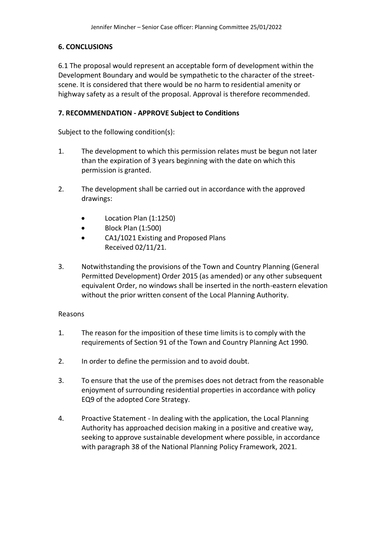# **6. CONCLUSIONS**

6.1 The proposal would represent an acceptable form of development within the Development Boundary and would be sympathetic to the character of the streetscene. It is considered that there would be no harm to residential amenity or highway safety as a result of the proposal. Approval is therefore recommended.

# **7. RECOMMENDATION - APPROVE Subject to Conditions**

Subject to the following condition(s):

- 1. The development to which this permission relates must be begun not later than the expiration of 3 years beginning with the date on which this permission is granted.
- 2. The development shall be carried out in accordance with the approved drawings:
	- Location Plan (1:1250)
	- Block Plan (1:500)
	- CA1/1021 Existing and Proposed Plans Received 02/11/21.
- 3. Notwithstanding the provisions of the Town and Country Planning (General Permitted Development) Order 2015 (as amended) or any other subsequent equivalent Order, no windows shall be inserted in the north-eastern elevation without the prior written consent of the Local Planning Authority.

### Reasons

- 1. The reason for the imposition of these time limits is to comply with the requirements of Section 91 of the Town and Country Planning Act 1990.
- 2. In order to define the permission and to avoid doubt.
- 3. To ensure that the use of the premises does not detract from the reasonable enjoyment of surrounding residential properties in accordance with policy EQ9 of the adopted Core Strategy.
- 4. Proactive Statement In dealing with the application, the Local Planning Authority has approached decision making in a positive and creative way, seeking to approve sustainable development where possible, in accordance with paragraph 38 of the National Planning Policy Framework, 2021.